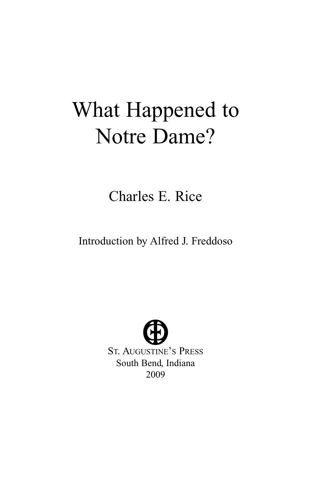# What Happened to Notre Dame?

Charles E. Rice

Introduction by Alfred J. Freddoso



ST. AUGUSTINE'S PRESS South Bend, Indiana 2009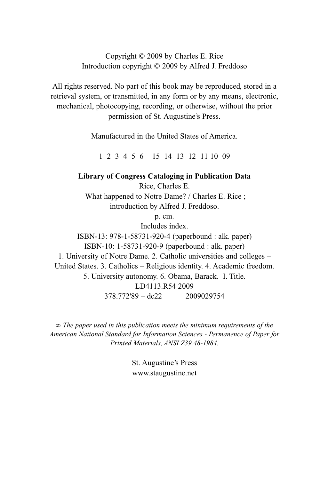Copyright © 2009 by Charles E. Rice Introduction copyright © 2009 by Alfred J. Freddoso

All rights reserved. No part of this book may be reproduced, stored in a retrieval system, or transmitted, in any form or by any means, electronic, mechanical, photocopying, recording, or otherwise, without the prior permission of St. Augustine's Press.

Manufactured in the United States of America.

1 2 3 4 5 6 15 14 13 12 11 10 09

**Library of Congress Cataloging in Publication Data** Rice, Charles E. What happened to Notre Dame? / Charles E. Rice ; introduction by Alfred J. Freddoso. p. cm. Includes index. ISBN-13: 978-1-58731-920-4 (paperbound : alk. paper) ISBN-10: 1-58731-920-9 (paperbound : alk. paper) 1. University of Notre Dame. 2. Catholic universities and colleges – United States. 3. Catholics – Religious identity. 4. Academic freedom. 5. University autonomy. 6. Obama, Barack. I. Title. LD4113.R54 2009 378.772'89 – dc22 2009029754

∞ *The paper used in this publication meets the minimum requirements of the American National Standard for Information Sciences - Permanence of Paper for Printed Materials, ANSI Z39.48-1984.*

> St. Augustine's Press www.staugustine.net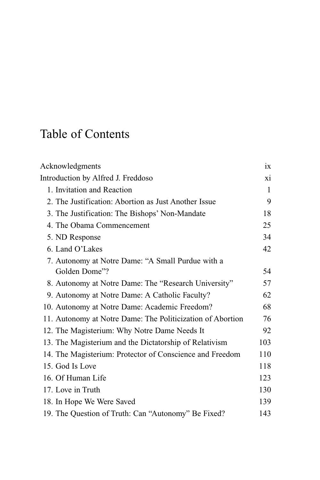## Table of Contents

| Acknowledgments                                            | ix           |
|------------------------------------------------------------|--------------|
| Introduction by Alfred J. Freddoso                         | xi           |
| 1. Invitation and Reaction                                 | $\mathbf{1}$ |
| 2. The Justification: Abortion as Just Another Issue       | 9            |
| 3. The Justification: The Bishops' Non-Mandate             | 18           |
| 4. The Obama Commencement                                  | 25           |
| 5. ND Response                                             | 34           |
| 6. Land O'Lakes                                            | 42           |
| 7. Autonomy at Notre Dame: "A Small Purdue with a          |              |
| Golden Dome"?                                              | 54           |
| 8. Autonomy at Notre Dame: The "Research University"       | 57           |
| 9. Autonomy at Notre Dame: A Catholic Faculty?             | 62           |
| 10. Autonomy at Notre Dame: Academic Freedom?              | 68           |
| 11. Autonomy at Notre Dame: The Politicization of Abortion | 76           |
| 12. The Magisterium: Why Notre Dame Needs It               | 92           |
| 13. The Magisterium and the Dictatorship of Relativism     | 103          |
| 14. The Magisterium: Protector of Conscience and Freedom   | 110          |
| 15. God Is Love                                            | 118          |
| 16. Of Human Life                                          | 123          |
| 17. Love in Truth                                          | 130          |
| 18. In Hope We Were Saved                                  | 139          |
| 19. The Question of Truth: Can "Autonomy" Be Fixed?        | 143          |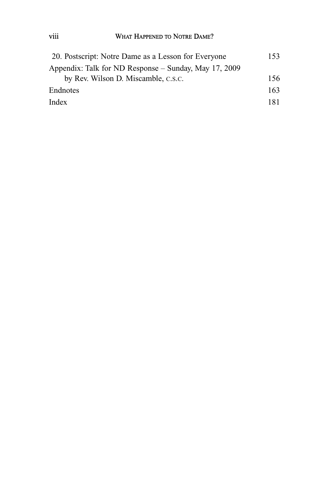| 20. Postscript: Notre Dame as a Lesson for Everyone   | 153 |
|-------------------------------------------------------|-----|
| Appendix: Talk for ND Response – Sunday, May 17, 2009 |     |
| by Rev. Wilson D. Miscamble, C.S.C.                   | 156 |
| Endnotes                                              | 163 |
| Index                                                 | 181 |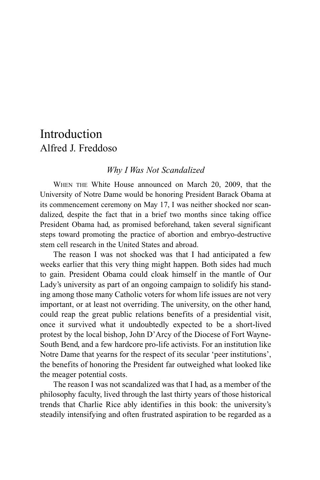### **Introduction** Alfred J. Freddoso

### *Why I Was Not Scandalized*

WHEN THE White House announced on March 20, 2009, that the University of Notre Dame would be honoring President Barack Obama at its commencement ceremony on May 17, I was neither shocked nor scandalized, despite the fact that in a brief two months since taking office President Obama had, as promised beforehand, taken several significant steps toward promoting the practice of abortion and embryo-destructive stem cell research in the United States and abroad.

The reason I was not shocked was that I had anticipated a few weeks earlier that this very thing might happen. Both sides had much to gain. President Obama could cloak himself in the mantle of Our Lady's university as part of an ongoing campaign to solidify his standing among those many Catholic voters for whom life issues are not very important, or at least not overriding. The university, on the other hand, could reap the great public relations benefits of a presidential visit, once it survived what it undoubtedly expected to be a short-lived protest by the local bishop, John D'Arcy of the Diocese of Fort Wayne-South Bend, and a few hardcore pro-life activists. For an institution like Notre Dame that yearns for the respect of its secular 'peer institutions', the benefits of honoring the President far outweighed what looked like the meager potential costs.

The reason I was not scandalized was that I had, as a member of the philosophy faculty, lived through the last thirty years of those historical trends that Charlie Rice ably identifies in this book: the university's steadily intensifying and often frustrated aspiration to be regarded as a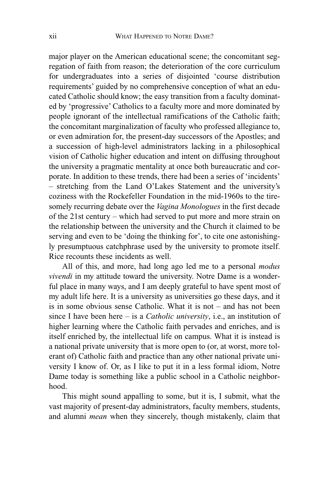major player on the American educational scene; the concomitant segregation of faith from reason; the deterioration of the core curriculum for undergraduates into a series of disjointed 'course distribution requirements' guided by no comprehensive conception of what an educated Catholic should know; the easy transition from a faculty dominated by 'progressive' Catholics to a faculty more and more dominated by people ignorant of the intellectual ramifications of the Catholic faith; the concomitant marginalization of faculty who professed allegiance to, or even admiration for, the present-day successors of the Apostles; and a succession of high-level administrators lacking in a philosophical vision of Catholic higher education and intent on diffusing throughout the university a pragmatic mentality at once both bureaucratic and corporate. In addition to these trends, there had been a series of 'incidents' – stretching from the Land O'Lakes Statement and the university's coziness with the Rockefeller Foundation in the mid-1960s to the tiresomely recurring debate over the *Vagina Monologues* in the first decade of the 21st century – which had served to put more and more strain on the relationship between the university and the Church it claimed to be serving and even to be 'doing the thinking for', to cite one astonishingly presumptuous catchphrase used by the university to promote itself. Rice recounts these incidents as well.

All of this, and more, had long ago led me to a personal *modus vivendi* in my attitude toward the university. Notre Dame is a wonderful place in many ways, and I am deeply grateful to have spent most of my adult life here. It is a university as universities go these days, and it is in some obvious sense Catholic. What it is not – and has not been since I have been here – is a *Catholic university*, i.e., an institution of higher learning where the Catholic faith pervades and enriches, and is itself enriched by, the intellectual life on campus. What it is instead is a national private university that is more open to (or, at worst, more tolerant of) Catholic faith and practice than any other national private university I know of. Or, as I like to put it in a less formal idiom, Notre Dame today is something like a public school in a Catholic neighborhood.

This might sound appalling to some, but it is, I submit, what the vast majority of present-day administrators, faculty members, students, and alumni *mean* when they sincerely, though mistakenly, claim that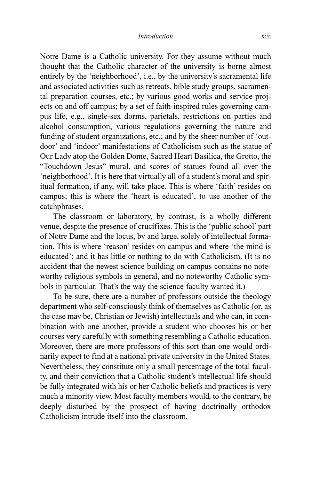Notre Dame is a Catholic university. For they assume without much thought that the Catholic character of the university is borne almost entirely by the 'neighborhood', i.e., by the university's sacramental life and associated activities such as retreats, bible study groups, sacramental preparation courses, etc.; by various good works and service projects on and off campus; by a set of faith-inspired rules governing campus life, e.g., single-sex dorms, parietals, restrictions on parties and alcohol consumption, various regulations governing the nature and funding of student organizations, etc.; and by the sheer number of 'outdoor' and 'indoor' manifestations of Catholicism such as the statue of Our Lady atop the Golden Dome, Sacred Heart Basilica, the Grotto, the "Touchdown Jesus" mural, and scores of statues found all over the 'neighborhood'. It is here that virtually all of a student's moral and spiritual formation, if any, will take place. This is where 'faith' resides on campus; this is where the 'heart is educated', to use another of the catchphrases.

The classroom or laboratory, by contrast, is a wholly different venue, despite the presence of crucifixes. This is the 'public school' part of Notre Dame and the locus, by and large, solely of intellectual formation. This is where 'reason' resides on campus and where 'the mind is educated'; and it has little or nothing to do with Catholicism. (It is no accident that the newest science building on campus contains no noteworthy religious symbols in general, and no noteworthy Catholic symbols in particular. That's the way the science faculty wanted it.)

To be sure, there are a number of professors outside the theology department who self-consciously think of themselves as Catholic (or, as the case may be, Christian or Jewish) intellectuals and who can, in combination with one another, provide a student who chooses his or her courses very carefully with something resembling a Catholic education. Moreover, there are more professors of this sort than one would ordinarily expect to find at a national private university in the United States. Nevertheless, they constitute only a small percentage of the total faculty, and their conviction that a Catholic student's intellectual life should be fully integrated with his or her Catholic beliefs and practices is very much a minority view. Most faculty members would, to the contrary, be deeply disturbed by the prospect of having doctrinally orthodox Catholicism intrude itself into the classroom.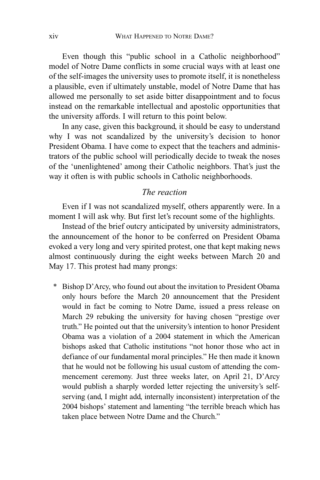Even though this "public school in a Catholic neighborhood" model of Notre Dame conflicts in some crucial ways with at least one of the self-images the university uses to promote itself, it is nonetheless a plausible, even if ultimately unstable, model of Notre Dame that has allowed me personally to set aside bitter disappointment and to focus instead on the remarkable intellectual and apostolic opportunities that the university affords. I will return to this point below.

In any case, given this background, it should be easy to understand why I was not scandalized by the university's decision to honor President Obama. I have come to expect that the teachers and administrators of the public school will periodically decide to tweak the noses of the 'unenlightened' among their Catholic neighbors. That's just the way it often is with public schools in Catholic neighborhoods.

### *The reaction*

Even if I was not scandalized myself, others apparently were. In a moment I will ask why. But first let's recount some of the highlights.

Instead of the brief outcry anticipated by university administrators, the announcement of the honor to be conferred on President Obama evoked a very long and very spirited protest, one that kept making news almost continuously during the eight weeks between March 20 and May 17. This protest had many prongs:

\* Bishop D'Arcy, who found out about the invitation to President Obama only hours before the March 20 announcement that the President would in fact be coming to Notre Dame, issued a press release on March 29 rebuking the university for having chosen "prestige over truth." He pointed out that the university's intention to honor President Obama was a violation of a 2004 statement in which the American bishops asked that Catholic institutions "not honor those who act in defiance of our fundamental moral principles." He then made it known that he would not be following his usual custom of attending the commencement ceremony. Just three weeks later, on April 21, D'Arcy would publish a sharply worded letter rejecting the university's selfserving (and, I might add, internally inconsistent) interpretation of the 2004 bishops' statement and lamenting "the terrible breach which has taken place between Notre Dame and the Church."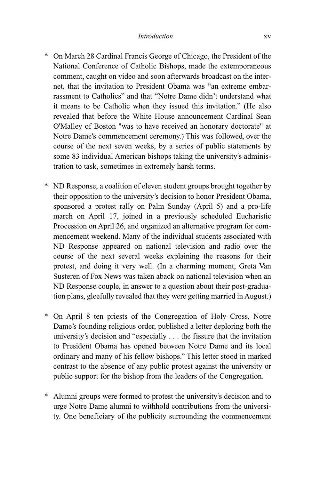- \* On March 28 Cardinal Francis George of Chicago, the President of the National Conference of Catholic Bishops, made the extemporaneous comment, caught on video and soon afterwards broadcast on the internet, that the invitation to President Obama was "an extreme embarrassment to Catholics" and that "Notre Dame didn't understand what it means to be Catholic when they issued this invitation." (He also revealed that before the White House announcement Cardinal Sean O'Malley of Boston "was to have received an honorary doctorate" at Notre Dame's commencement ceremony.) This was followed, over the course of the next seven weeks, by a series of public statements by some 83 individual American bishops taking the university's administration to task, sometimes in extremely harsh terms.
- \* ND Response, a coalition of eleven student groups brought together by their opposition to the university's decision to honor President Obama, sponsored a protest rally on Palm Sunday (April 5) and a pro-life march on April 17, joined in a previously scheduled Eucharistic Procession on April 26, and organized an alternative program for commencement weekend. Many of the individual students associated with ND Response appeared on national television and radio over the course of the next several weeks explaining the reasons for their protest, and doing it very well. (In a charming moment, Greta Van Susteren of Fox News was taken aback on national television when an ND Response couple, in answer to a question about their post-graduation plans, gleefully revealed that they were getting married in August.)
- \* On April 8 ten priests of the Congregation of Holy Cross, Notre Dame's founding religious order, published a letter deploring both the university's decision and "especially . . . the fissure that the invitation to President Obama has opened between Notre Dame and its local ordinary and many of his fellow bishops." This letter stood in marked contrast to the absence of any public protest against the university or public support for the bishop from the leaders of the Congregation.
- \* Alumni groups were formed to protest the university's decision and to urge Notre Dame alumni to withhold contributions from the university. One beneficiary of the publicity surrounding the commencement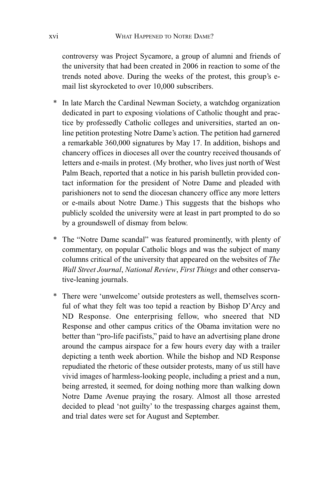controversy was Project Sycamore, a group of alumni and friends of the university that had been created in 2006 in reaction to some of the trends noted above. During the weeks of the protest, this group's email list skyrocketed to over 10,000 subscribers.

- \* In late March the Cardinal Newman Society, a watchdog organization dedicated in part to exposing violations of Catholic thought and practice by professedly Catholic colleges and universities, started an online petition protesting Notre Dame's action. The petition had garnered a remarkable 360,000 signatures by May 17. In addition, bishops and chancery offices in dioceses all over the country received thousands of letters and e-mails in protest. (My brother, who lives just north of West Palm Beach, reported that a notice in his parish bulletin provided contact information for the president of Notre Dame and pleaded with parishioners not to send the diocesan chancery office any more letters or e-mails about Notre Dame.) This suggests that the bishops who publicly scolded the university were at least in part prompted to do so by a groundswell of dismay from below.
- \* The "Notre Dame scandal" was featured prominently, with plenty of commentary, on popular Catholic blogs and was the subject of many columns critical of the university that appeared on the websites of *The Wall Street Journal*, *National Review*, *First Things* and other conservative-leaning journals.
- \* There were 'unwelcome' outside protesters as well, themselves scornful of what they felt was too tepid a reaction by Bishop D'Arcy and ND Response. One enterprising fellow, who sneered that ND Response and other campus critics of the Obama invitation were no better than "pro-life pacifists," paid to have an advertising plane drone around the campus airspace for a few hours every day with a trailer depicting a tenth week abortion. While the bishop and ND Response repudiated the rhetoric of these outsider protests, many of us still have vivid images of harmless-looking people, including a priest and a nun, being arrested, it seemed, for doing nothing more than walking down Notre Dame Avenue praying the rosary. Almost all those arrested decided to plead 'not guilty' to the trespassing charges against them, and trial dates were set for August and September.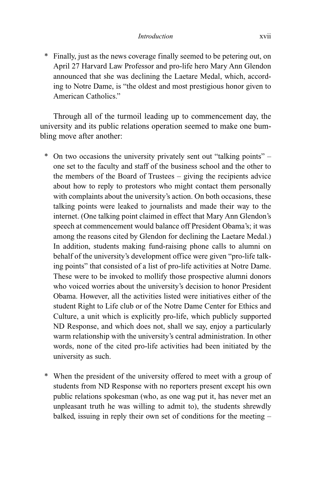\* Finally, just as the news coverage finally seemed to be petering out, on April 27 Harvard Law Professor and pro-life hero Mary Ann Glendon announced that she was declining the Laetare Medal, which, according to Notre Dame, is "the oldest and most prestigious honor given to American Catholics."

Through all of the turmoil leading up to commencement day, the university and its public relations operation seemed to make one bumbling move after another:

- \* On two occasions the university privately sent out "talking points" one set to the faculty and staff of the business school and the other to the members of the Board of Trustees – giving the recipients advice about how to reply to protestors who might contact them personally with complaints about the university's action. On both occasions, these talking points were leaked to journalists and made their way to the internet. (One talking point claimed in effect that Mary Ann Glendon's speech at commencement would balance off President Obama's; it was among the reasons cited by Glendon for declining the Laetare Medal.) In addition, students making fund-raising phone calls to alumni on behalf of the university's development office were given "pro-life talking points" that consisted of a list of pro-life activities at Notre Dame. These were to be invoked to mollify those prospective alumni donors who voiced worries about the university's decision to honor President Obama. However, all the activities listed were initiatives either of the student Right to Life club or of the Notre Dame Center for Ethics and Culture, a unit which is explicitly pro-life, which publicly supported ND Response, and which does not, shall we say, enjoy a particularly warm relationship with the university's central administration. In other words, none of the cited pro-life activities had been initiated by the university as such.
- \* When the president of the university offered to meet with a group of students from ND Response with no reporters present except his own public relations spokesman (who, as one wag put it, has never met an unpleasant truth he was willing to admit to), the students shrewdly balked, issuing in reply their own set of conditions for the meeting –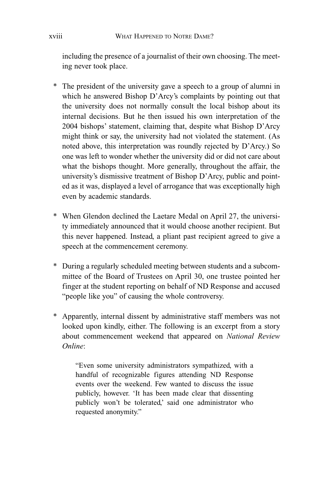including the presence of a journalist of their own choosing. The meeting never took place.

- \* The president of the university gave a speech to a group of alumni in which he answered Bishop D'Arcy's complaints by pointing out that the university does not normally consult the local bishop about its internal decisions. But he then issued his own interpretation of the 2004 bishops' statement, claiming that, despite what Bishop D'Arcy might think or say, the university had not violated the statement. (As noted above, this interpretation was roundly rejected by D'Arcy.) So one was left to wonder whether the university did or did not care about what the bishops thought. More generally, throughout the affair, the university's dismissive treatment of Bishop D'Arcy, public and pointed as it was, displayed a level of arrogance that was exceptionally high even by academic standards.
- \* When Glendon declined the Laetare Medal on April 27, the university immediately announced that it would choose another recipient. But this never happened. Instead, a pliant past recipient agreed to give a speech at the commencement ceremony.
- \* During a regularly scheduled meeting between students and a subcommittee of the Board of Trustees on April 30, one trustee pointed her finger at the student reporting on behalf of ND Response and accused "people like you" of causing the whole controversy.
- \* Apparently, internal dissent by administrative staff members was not looked upon kindly, either. The following is an excerpt from a story about commencement weekend that appeared on *National Review Online*:

"Even some university administrators sympathized, with a handful of recognizable figures attending ND Response events over the weekend. Few wanted to discuss the issue publicly, however. 'It has been made clear that dissenting publicly won't be tolerated,' said one administrator who requested anonymity."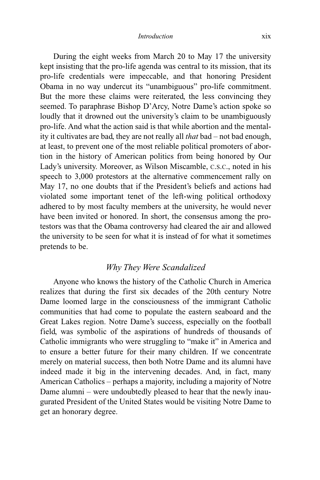During the eight weeks from March 20 to May 17 the university kept insisting that the pro-life agenda was central to its mission, that its pro-life credentials were impeccable, and that honoring President Obama in no way undercut its "unambiguous" pro-life commitment. But the more these claims were reiterated, the less convincing they seemed. To paraphrase Bishop D'Arcy, Notre Dame's action spoke so loudly that it drowned out the university's claim to be unambiguously pro-life. And what the action said is that while abortion and the mentality it cultivates are bad, they are not really all *that* bad – not bad enough, at least, to prevent one of the most reliable political promoters of abortion in the history of American politics from being honored by Our Lady's university. Moreover, as Wilson Miscamble, C.S.C., noted in his speech to 3,000 protestors at the alternative commencement rally on May 17, no one doubts that if the President's beliefs and actions had violated some important tenet of the left-wing political orthodoxy adhered to by most faculty members at the university, he would never have been invited or honored. In short, the consensus among the protestors was that the Obama controversy had cleared the air and allowed the university to be seen for what it is instead of for what it sometimes pretends to be.

### *Why They Were Scandalized*

Anyone who knows the history of the Catholic Church in America realizes that during the first six decades of the 20th century Notre Dame loomed large in the consciousness of the immigrant Catholic communities that had come to populate the eastern seaboard and the Great Lakes region. Notre Dame's success, especially on the football field, was symbolic of the aspirations of hundreds of thousands of Catholic immigrants who were struggling to "make it" in America and to ensure a better future for their many children. If we concentrate merely on material success, then both Notre Dame and its alumni have indeed made it big in the intervening decades. And, in fact, many American Catholics – perhaps a majority, including a majority of Notre Dame alumni – were undoubtedly pleased to hear that the newly inaugurated President of the United States would be visiting Notre Dame to get an honorary degree.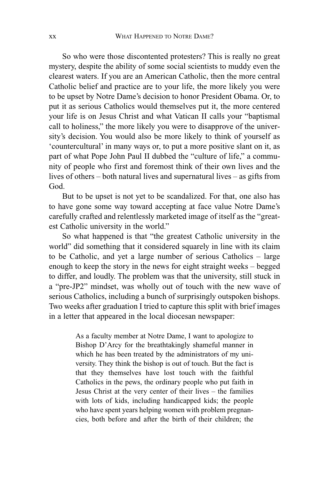So who were those discontented protesters? This is really no great mystery, despite the ability of some social scientists to muddy even the clearest waters. If you are an American Catholic, then the more central Catholic belief and practice are to your life, the more likely you were to be upset by Notre Dame's decision to honor President Obama. Or, to put it as serious Catholics would themselves put it, the more centered your life is on Jesus Christ and what Vatican II calls your "baptismal call to holiness," the more likely you were to disapprove of the university's decision. You would also be more likely to think of yourself as 'countercultural' in many ways or, to put a more positive slant on it, as part of what Pope John Paul II dubbed the "culture of life," a community of people who first and foremost think of their own lives and the lives of others – both natural lives and supernatural lives – as gifts from God.

But to be upset is not yet to be scandalized. For that, one also has to have gone some way toward accepting at face value Notre Dame's carefully crafted and relentlessly marketed image of itself as the "greatest Catholic university in the world."

So what happened is that "the greatest Catholic university in the world" did something that it considered squarely in line with its claim to be Catholic, and yet a large number of serious Catholics – large enough to keep the story in the news for eight straight weeks – begged to differ, and loudly. The problem was that the university, still stuck in a "pre-JP2" mindset, was wholly out of touch with the new wave of serious Catholics, including a bunch of surprisingly outspoken bishops. Two weeks after graduation I tried to capture this split with brief images in a letter that appeared in the local diocesan newspaper:

> As a faculty member at Notre Dame, I want to apologize to Bishop D'Arcy for the breathtakingly shameful manner in which he has been treated by the administrators of my university. They think the bishop is out of touch. But the fact is that they themselves have lost touch with the faithful Catholics in the pews, the ordinary people who put faith in Jesus Christ at the very center of their lives – the families with lots of kids, including handicapped kids; the people who have spent years helping women with problem pregnancies, both before and after the birth of their children; the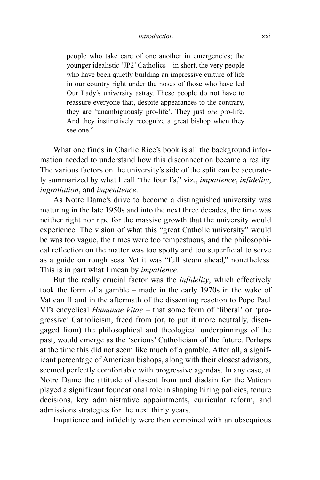#### *Introduction* xxi

people who take care of one another in emergencies; the younger idealistic 'JP2' Catholics – in short, the very people who have been quietly building an impressive culture of life in our country right under the noses of those who have led Our Lady's university astray. These people do not have to reassure everyone that, despite appearances to the contrary, they are 'unambiguously pro-life'. They just *are* pro-life. And they instinctively recognize a great bishop when they see one."

What one finds in Charlie Rice's book is all the background information needed to understand how this disconnection became a reality. The various factors on the university's side of the split can be accurately summarized by what I call "the four I's," viz., *impatience*, *infidelity*, *ingratiation*, and *impenitence*.

As Notre Dame's drive to become a distinguished university was maturing in the late 1950s and into the next three decades, the time was neither right nor ripe for the massive growth that the university would experience. The vision of what this "great Catholic university" would be was too vague, the times were too tempestuous, and the philosophical reflection on the matter was too spotty and too superficial to serve as a guide on rough seas. Yet it was "full steam ahead," nonetheless. This is in part what I mean by *impatience*.

But the really crucial factor was the *infidelity*, which effectively took the form of a gamble – made in the early 1970s in the wake of Vatican II and in the aftermath of the dissenting reaction to Pope Paul VI's encyclical *Humanae Vitae* – that some form of 'liberal' or 'progressive' Catholicism, freed from (or, to put it more neutrally, disengaged from) the philosophical and theological underpinnings of the past, would emerge as the 'serious' Catholicism of the future. Perhaps at the time this did not seem like much of a gamble. After all, a significant percentage of American bishops, along with their closest advisors, seemed perfectly comfortable with progressive agendas. In any case, at Notre Dame the attitude of dissent from and disdain for the Vatican played a significant foundational role in shaping hiring policies, tenure decisions, key administrative appointments, curricular reform, and admissions strategies for the next thirty years.

Impatience and infidelity were then combined with an obsequious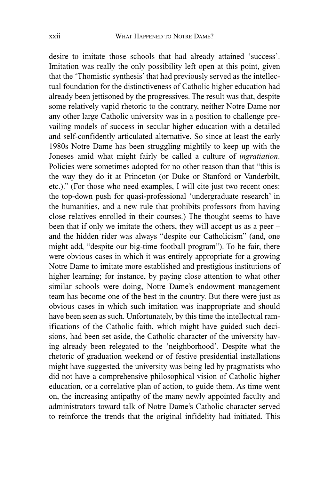desire to imitate those schools that had already attained 'success'. Imitation was really the only possibility left open at this point, given that the 'Thomistic synthesis' that had previously served as the intellectual foundation for the distinctiveness of Catholic higher education had already been jettisoned by the progressives. The result was that, despite some relatively vapid rhetoric to the contrary, neither Notre Dame nor any other large Catholic university was in a position to challenge prevailing models of success in secular higher education with a detailed and self-confidently articulated alternative. So since at least the early 1980s Notre Dame has been struggling mightily to keep up with the Joneses amid what might fairly be called a culture of *ingratiation*. Policies were sometimes adopted for no other reason than that "this is the way they do it at Princeton (or Duke or Stanford or Vanderbilt, etc.)." (For those who need examples, I will cite just two recent ones: the top-down push for quasi-professional 'undergraduate research' in the humanities, and a new rule that prohibits professors from having close relatives enrolled in their courses.) The thought seems to have been that if only we imitate the others, they will accept us as a peer – and the hidden rider was always "despite our Catholicism" (and, one might add, "despite our big-time football program"). To be fair, there were obvious cases in which it was entirely appropriate for a growing Notre Dame to imitate more established and prestigious institutions of higher learning; for instance, by paying close attention to what other similar schools were doing, Notre Dame's endowment management team has become one of the best in the country. But there were just as obvious cases in which such imitation was inappropriate and should have been seen as such. Unfortunately, by this time the intellectual ramifications of the Catholic faith, which might have guided such decisions, had been set aside, the Catholic character of the university having already been relegated to the 'neighborhood'. Despite what the rhetoric of graduation weekend or of festive presidential installations might have suggested, the university was being led by pragmatists who did not have a comprehensive philosophical vision of Catholic higher education, or a correlative plan of action, to guide them. As time went on, the increasing antipathy of the many newly appointed faculty and administrators toward talk of Notre Dame's Catholic character served to reinforce the trends that the original infidelity had initiated. This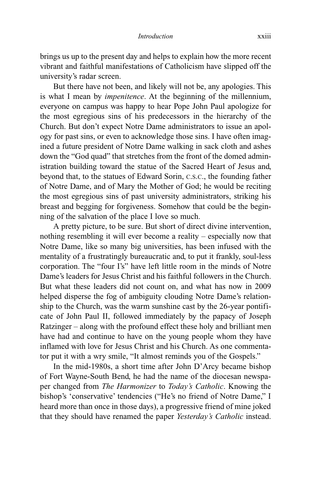brings us up to the present day and helps to explain how the more recent vibrant and faithful manifestations of Catholicism have slipped off the university's radar screen.

But there have not been, and likely will not be, any apologies. This is what I mean by *impenitence*. At the beginning of the millennium, everyone on campus was happy to hear Pope John Paul apologize for the most egregious sins of his predecessors in the hierarchy of the Church. But don't expect Notre Dame administrators to issue an apology for past sins, or even to acknowledge those sins. I have often imagined a future president of Notre Dame walking in sack cloth and ashes down the "God quad" that stretches from the front of the domed administration building toward the statue of the Sacred Heart of Jesus and, beyond that, to the statues of Edward Sorin, C.S.C., the founding father of Notre Dame, and of Mary the Mother of God; he would be reciting the most egregious sins of past university administrators, striking his breast and begging for forgiveness. Somehow that could be the beginning of the salvation of the place I love so much.

A pretty picture, to be sure. But short of direct divine intervention, nothing resembling it will ever become a reality – especially now that Notre Dame, like so many big universities, has been infused with the mentality of a frustratingly bureaucratic and, to put it frankly, soul-less corporation. The "four I's" have left little room in the minds of Notre Dame's leaders for Jesus Christ and his faithful followers in the Church. But what these leaders did not count on, and what has now in 2009 helped disperse the fog of ambiguity clouding Notre Dame's relationship to the Church, was the warm sunshine cast by the 26-year pontificate of John Paul II, followed immediately by the papacy of Joseph Ratzinger – along with the profound effect these holy and brilliant men have had and continue to have on the young people whom they have inflamed with love for Jesus Christ and his Church. As one commentator put it with a wry smile, "It almost reminds you of the Gospels."

In the mid-1980s, a short time after John D'Arcy became bishop of Fort Wayne-South Bend, he had the name of the diocesan newspaper changed from *The Harmonizer* to *Today's Catholic*. Knowing the bishop's 'conservative' tendencies ("He's no friend of Notre Dame," I heard more than once in those days), a progressive friend of mine joked that they should have renamed the paper *Yesterday's Catholic* instead.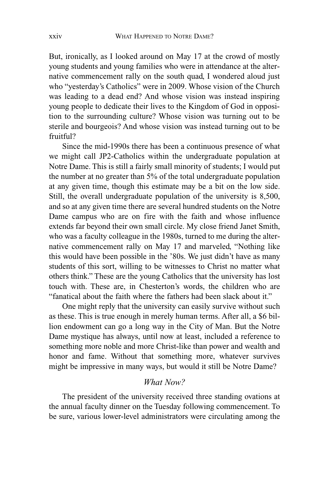But, ironically, as I looked around on May 17 at the crowd of mostly young students and young families who were in attendance at the alternative commencement rally on the south quad, I wondered aloud just who "yesterday's Catholics" were in 2009. Whose vision of the Church was leading to a dead end? And whose vision was instead inspiring young people to dedicate their lives to the Kingdom of God in opposition to the surrounding culture? Whose vision was turning out to be sterile and bourgeois? And whose vision was instead turning out to be fruitful?

Since the mid-1990s there has been a continuous presence of what we might call JP2-Catholics within the undergraduate population at Notre Dame. This is still a fairly small minority of students; I would put the number at no greater than 5% of the total undergraduate population at any given time, though this estimate may be a bit on the low side. Still, the overall undergraduate population of the university is 8,500, and so at any given time there are several hundred students on the Notre Dame campus who are on fire with the faith and whose influence extends far beyond their own small circle. My close friend Janet Smith, who was a faculty colleague in the 1980s, turned to me during the alternative commencement rally on May 17 and marveled, "Nothing like this would have been possible in the '80s. We just didn't have as many students of this sort, willing to be witnesses to Christ no matter what others think." These are the young Catholics that the university has lost touch with. These are, in Chesterton's words, the children who are "fanatical about the faith where the fathers had been slack about it."

One might reply that the university can easily survive without such as these. This is true enough in merely human terms. After all, a \$6 billion endowment can go a long way in the City of Man. But the Notre Dame mystique has always, until now at least, included a reference to something more noble and more Christ-like than power and wealth and honor and fame. Without that something more, whatever survives might be impressive in many ways, but would it still be Notre Dame?

### *What Now?*

The president of the university received three standing ovations at the annual faculty dinner on the Tuesday following commencement. To be sure, various lower-level administrators were circulating among the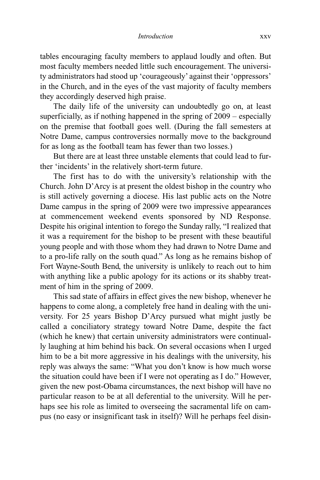tables encouraging faculty members to applaud loudly and often. But most faculty members needed little such encouragement. The university administrators had stood up 'courageously' against their 'oppressors' in the Church, and in the eyes of the vast majority of faculty members they accordingly deserved high praise.

The daily life of the university can undoubtedly go on, at least superficially, as if nothing happened in the spring of 2009 – especially on the premise that football goes well. (During the fall semesters at Notre Dame, campus controversies normally move to the background for as long as the football team has fewer than two losses.)

But there are at least three unstable elements that could lead to further 'incidents' in the relatively short-term future.

The first has to do with the university's relationship with the Church. John D'Arcy is at present the oldest bishop in the country who is still actively governing a diocese. His last public acts on the Notre Dame campus in the spring of 2009 were two impressive appearances at commencement weekend events sponsored by ND Response. Despite his original intention to forego the Sunday rally, "I realized that it was a requirement for the bishop to be present with these beautiful young people and with those whom they had drawn to Notre Dame and to a pro-life rally on the south quad." As long as he remains bishop of Fort Wayne-South Bend, the university is unlikely to reach out to him with anything like a public apology for its actions or its shabby treatment of him in the spring of 2009.

This sad state of affairs in effect gives the new bishop, whenever he happens to come along, a completely free hand in dealing with the university. For 25 years Bishop D'Arcy pursued what might justly be called a conciliatory strategy toward Notre Dame, despite the fact (which he knew) that certain university administrators were continually laughing at him behind his back. On several occasions when I urged him to be a bit more aggressive in his dealings with the university, his reply was always the same: "What you don't know is how much worse the situation could have been if I were not operating as I do." However, given the new post-Obama circumstances, the next bishop will have no particular reason to be at all deferential to the university. Will he perhaps see his role as limited to overseeing the sacramental life on campus (no easy or insignificant task in itself)? Will he perhaps feel disin-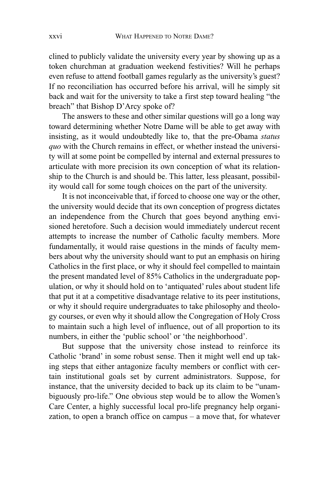clined to publicly validate the university every year by showing up as a token churchman at graduation weekend festivities? Will he perhaps even refuse to attend football games regularly as the university's guest? If no reconciliation has occurred before his arrival, will he simply sit back and wait for the university to take a first step toward healing "the breach" that Bishop D'Arcy spoke of?

The answers to these and other similar questions will go a long way toward determining whether Notre Dame will be able to get away with insisting, as it would undoubtedly like to, that the pre-Obama *status quo* with the Church remains in effect, or whether instead the university will at some point be compelled by internal and external pressures to articulate with more precision its own conception of what its relationship to the Church is and should be. This latter, less pleasant, possibility would call for some tough choices on the part of the university.

It is not inconceivable that, if forced to choose one way or the other, the university would decide that its own conception of progress dictates an independence from the Church that goes beyond anything envisioned heretofore. Such a decision would immediately undercut recent attempts to increase the number of Catholic faculty members. More fundamentally, it would raise questions in the minds of faculty members about why the university should want to put an emphasis on hiring Catholics in the first place, or why it should feel compelled to maintain the present mandated level of 85% Catholics in the undergraduate population, or why it should hold on to 'antiquated' rules about student life that put it at a competitive disadvantage relative to its peer institutions, or why it should require undergraduates to take philosophy and theology courses, or even why it should allow the Congregation of Holy Cross to maintain such a high level of influence, out of all proportion to its numbers, in either the 'public school' or 'the neighborhood'.

But suppose that the university chose instead to reinforce its Catholic 'brand' in some robust sense. Then it might well end up taking steps that either antagonize faculty members or conflict with certain institutional goals set by current administrators. Suppose, for instance, that the university decided to back up its claim to be "unambiguously pro-life." One obvious step would be to allow the Women's Care Center, a highly successful local pro-life pregnancy help organization, to open a branch office on campus – a move that, for whatever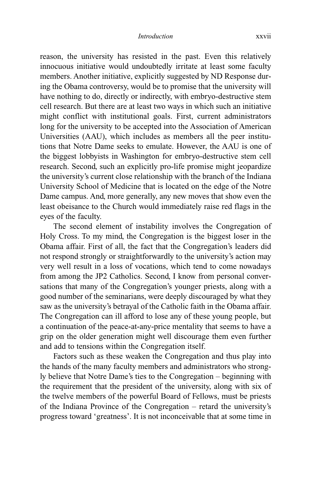reason, the university has resisted in the past. Even this relatively innocuous initiative would undoubtedly irritate at least some faculty members. Another initiative, explicitly suggested by ND Response during the Obama controversy, would be to promise that the university will have nothing to do, directly or indirectly, with embryo-destructive stem cell research. But there are at least two ways in which such an initiative might conflict with institutional goals. First, current administrators long for the university to be accepted into the Association of American Universities (AAU), which includes as members all the peer institutions that Notre Dame seeks to emulate. However, the AAU is one of the biggest lobbyists in Washington for embryo-destructive stem cell research. Second, such an explicitly pro-life promise might jeopardize the university's current close relationship with the branch of the Indiana University School of Medicine that is located on the edge of the Notre Dame campus. And, more generally, any new moves that show even the least obeisance to the Church would immediately raise red flags in the eyes of the faculty.

The second element of instability involves the Congregation of Holy Cross. To my mind, the Congregation is the biggest loser in the Obama affair. First of all, the fact that the Congregation's leaders did not respond strongly or straightforwardly to the university's action may very well result in a loss of vocations, which tend to come nowadays from among the JP2 Catholics. Second, I know from personal conversations that many of the Congregation's younger priests, along with a good number of the seminarians, were deeply discouraged by what they saw as the university's betrayal of the Catholic faith in the Obama affair. The Congregation can ill afford to lose any of these young people, but a continuation of the peace-at-any-price mentality that seems to have a grip on the older generation might well discourage them even further and add to tensions within the Congregation itself.

Factors such as these weaken the Congregation and thus play into the hands of the many faculty members and administrators who strongly believe that Notre Dame's ties to the Congregation – beginning with the requirement that the president of the university, along with six of the twelve members of the powerful Board of Fellows, must be priests of the Indiana Province of the Congregation – retard the university's progress toward 'greatness'. It is not inconceivable that at some time in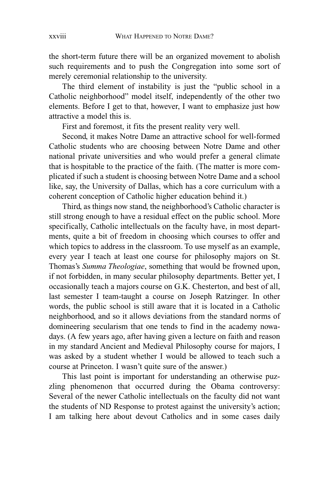the short-term future there will be an organized movement to abolish such requirements and to push the Congregation into some sort of merely ceremonial relationship to the university.

The third element of instability is just the "public school in a Catholic neighborhood" model itself, independently of the other two elements. Before I get to that, however, I want to emphasize just how attractive a model this is.

First and foremost, it fits the present reality very well.

Second, it makes Notre Dame an attractive school for well-formed Catholic students who are choosing between Notre Dame and other national private universities and who would prefer a general climate that is hospitable to the practice of the faith. (The matter is more complicated if such a student is choosing between Notre Dame and a school like, say, the University of Dallas, which has a core curriculum with a coherent conception of Catholic higher education behind it.)

Third, as things now stand, the neighborhood's Catholic character is still strong enough to have a residual effect on the public school. More specifically, Catholic intellectuals on the faculty have, in most departments, quite a bit of freedom in choosing which courses to offer and which topics to address in the classroom. To use myself as an example, every year I teach at least one course for philosophy majors on St. Thomas's *Summa Theologiae*, something that would be frowned upon, if not forbidden, in many secular philosophy departments. Better yet, I occasionally teach a majors course on G.K. Chesterton, and best of all, last semester I team-taught a course on Joseph Ratzinger. In other words, the public school is still aware that it is located in a Catholic neighborhood, and so it allows deviations from the standard norms of domineering secularism that one tends to find in the academy nowadays. (A few years ago, after having given a lecture on faith and reason in my standard Ancient and Medieval Philosophy course for majors, I was asked by a student whether I would be allowed to teach such a course at Princeton. I wasn't quite sure of the answer.)

This last point is important for understanding an otherwise puzzling phenomenon that occurred during the Obama controversy: Several of the newer Catholic intellectuals on the faculty did not want the students of ND Response to protest against the university's action; I am talking here about devout Catholics and in some cases daily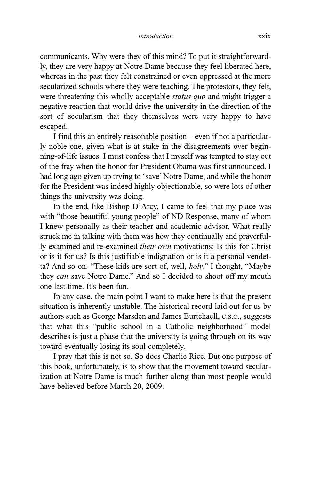communicants. Why were they of this mind? To put it straightforwardly, they are very happy at Notre Dame because they feel liberated here, whereas in the past they felt constrained or even oppressed at the more secularized schools where they were teaching. The protestors, they felt, were threatening this wholly acceptable *status quo* and might trigger a negative reaction that would drive the university in the direction of the sort of secularism that they themselves were very happy to have escaped.

I find this an entirely reasonable position – even if not a particularly noble one, given what is at stake in the disagreements over beginning-of-life issues. I must confess that I myself was tempted to stay out of the fray when the honor for President Obama was first announced. I had long ago given up trying to 'save' Notre Dame, and while the honor for the President was indeed highly objectionable, so were lots of other things the university was doing.

In the end, like Bishop D'Arcy, I came to feel that my place was with "those beautiful young people" of ND Response, many of whom I knew personally as their teacher and academic advisor. What really struck me in talking with them was how they continually and prayerfully examined and re-examined *their own* motivations: Is this for Christ or is it for us? Is this justifiable indignation or is it a personal vendetta? And so on. "These kids are sort of, well, *holy*," I thought, "Maybe they *can* save Notre Dame." And so I decided to shoot off my mouth one last time. It's been fun.

In any case, the main point I want to make here is that the present situation is inherently unstable. The historical record laid out for us by authors such as George Marsden and James Burtchaell, C.S.C., suggests that what this "public school in a Catholic neighborhood" model describes is just a phase that the university is going through on its way toward eventually losing its soul completely.

I pray that this is not so. So does Charlie Rice. But one purpose of this book, unfortunately, is to show that the movement toward secularization at Notre Dame is much further along than most people would have believed before March 20, 2009.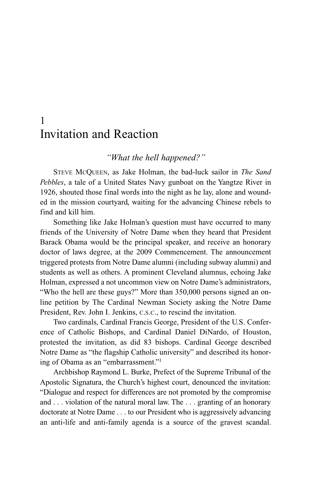### 1 Invitation and Reaction

### *"What the hell happened?"*

STEVE MCQUEEN, as Jake Holman, the bad-luck sailor in *The Sand Pebbles*, a tale of a United States Navy gunboat on the Yangtze River in 1926, shouted those final words into the night as he lay, alone and wounded in the mission courtyard, waiting for the advancing Chinese rebels to find and kill him.

Something like Jake Holman's question must have occurred to many friends of the University of Notre Dame when they heard that President Barack Obama would be the principal speaker, and receive an honorary doctor of laws degree, at the 2009 Commencement. The announcement triggered protests from Notre Dame alumni (including subway alumni) and students as well as others. A prominent Cleveland alumnus, echoing Jake Holman, expressed a not uncommon view on Notre Dame's administrators, "Who the hell are these guys?" More than 350,000 persons signed an online petition by The Cardinal Newman Society asking the Notre Dame President, Rev. John I. Jenkins, C.S.C., to rescind the invitation.

Two cardinals, Cardinal Francis George, President of the U.S. Conference of Catholic Bishops, and Cardinal Daniel DiNardo, of Houston, protested the invitation, as did 83 bishops. Cardinal George described Notre Dame as "the flagship Catholic university" and described its honoring of Obama as an "embarrassment."1

Archbishop Raymond L. Burke, Prefect of the Supreme Tribunal of the Apostolic Signatura, the Church's highest court, denounced the invitation: "Dialogue and respect for differences are not promoted by the compromise and . . . violation of the natural moral law. The . . . granting of an honorary doctorate at Notre Dame . . . to our President who is aggressively advancing an anti-life and anti-family agenda is a source of the gravest scandal.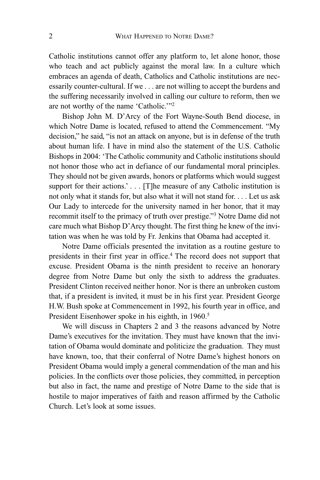Catholic institutions cannot offer any platform to, let alone honor, those who teach and act publicly against the moral law. In a culture which embraces an agenda of death, Catholics and Catholic institutions are necessarily counter-cultural. If we . . . are not willing to accept the burdens and the suffering necessarily involved in calling our culture to reform, then we are not worthy of the name 'Catholic.'"2

Bishop John M. D'Arcy of the Fort Wayne-South Bend diocese, in which Notre Dame is located, refused to attend the Commencement. "My decision," he said, "is not an attack on anyone, but is in defense of the truth about human life. I have in mind also the statement of the U.S. Catholic Bishops in 2004: 'The Catholic community and Catholic institutions should not honor those who act in defiance of our fundamental moral principles. They should not be given awards, honors or platforms which would suggest support for their actions.' . . . [T]he measure of any Catholic institution is not only what it stands for, but also what it will not stand for. . . . Let us ask Our Lady to intercede for the university named in her honor, that it may recommit itself to the primacy of truth over prestige."3 Notre Dame did not care much what Bishop D'Arcy thought. The first thing he knew of the invitation was when he was told by Fr. Jenkins that Obama had accepted it.

Notre Dame officials presented the invitation as a routine gesture to presidents in their first year in office.4 The record does not support that excuse. President Obama is the ninth president to receive an honorary degree from Notre Dame but only the sixth to address the graduates. President Clinton received neither honor. Nor is there an unbroken custom that, if a president is invited, it must be in his first year. President George H.W. Bush spoke at Commencement in 1992, his fourth year in office, and President Eisenhower spoke in his eighth, in 1960.<sup>5</sup>

We will discuss in Chapters 2 and 3 the reasons advanced by Notre Dame's executives for the invitation. They must have known that the invitation of Obama would dominate and politicize the graduation. They must have known, too, that their conferral of Notre Dame's highest honors on President Obama would imply a general commendation of the man and his policies. In the conflicts over those policies, they committed, in perception but also in fact, the name and prestige of Notre Dame to the side that is hostile to major imperatives of faith and reason affirmed by the Catholic Church. Let's look at some issues.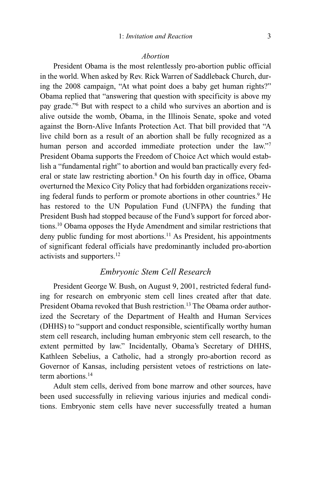### *Abortion*

President Obama is the most relentlessly pro-abortion public official in the world. When asked by Rev. Rick Warren of Saddleback Church, during the 2008 campaign, "At what point does a baby get human rights?" Obama replied that "answering that question with specificity is above my pay grade."6 But with respect to a child who survives an abortion and is alive outside the womb, Obama, in the Illinois Senate, spoke and voted against the Born-Alive Infants Protection Act. That bill provided that "A live child born as a result of an abortion shall be fully recognized as a human person and accorded immediate protection under the law."7 President Obama supports the Freedom of Choice Act which would establish a "fundamental right" to abortion and would ban practically every federal or state law restricting abortion.8 On his fourth day in office, Obama overturned the Mexico City Policy that had forbidden organizations receiving federal funds to perform or promote abortions in other countries.<sup>9</sup> He has restored to the UN Population Fund (UNFPA) the funding that President Bush had stopped because of the Fund's support for forced abortions.10 Obama opposes the Hyde Amendment and similar restrictions that deny public funding for most abortions.<sup>11</sup> As President, his appointments of significant federal officials have predominantly included pro-abortion activists and supporters.12

### *Embryonic Stem Cell Research*

President George W. Bush, on August 9, 2001, restricted federal funding for research on embryonic stem cell lines created after that date. President Obama revoked that Bush restriction.<sup>13</sup> The Obama order authorized the Secretary of the Department of Health and Human Services (DHHS) to "support and conduct responsible, scientifically worthy human stem cell research, including human embryonic stem cell research, to the extent permitted by law." Incidentally, Obama's Secretary of DHHS, Kathleen Sebelius, a Catholic, had a strongly pro-abortion record as Governor of Kansas, including persistent vetoes of restrictions on lateterm abortions.<sup>14</sup>

Adult stem cells, derived from bone marrow and other sources, have been used successfully in relieving various injuries and medical conditions. Embryonic stem cells have never successfully treated a human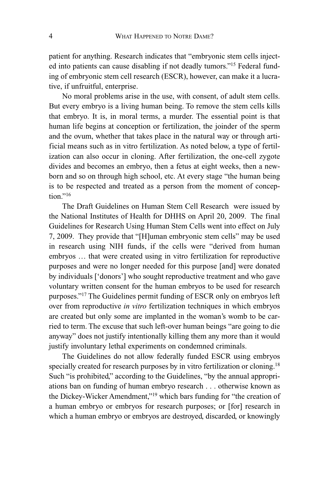patient for anything. Research indicates that "embryonic stem cells injected into patients can cause disabling if not deadly tumors."15 Federal funding of embryonic stem cell research (ESCR), however, can make it a lucrative, if unfruitful, enterprise.

No moral problems arise in the use, with consent, of adult stem cells. But every embryo is a living human being. To remove the stem cells kills that embryo. It is, in moral terms, a murder. The essential point is that human life begins at conception or fertilization, the joinder of the sperm and the ovum, whether that takes place in the natural way or through artificial means such as in vitro fertilization. As noted below, a type of fertilization can also occur in cloning. After fertilization, the one-cell zygote divides and becomes an embryo, then a fetus at eight weeks, then a newborn and so on through high school, etc. At every stage "the human being is to be respected and treated as a person from the moment of conception."<sup>16</sup>

The Draft Guidelines on Human Stem Cell Research were issued by the National Institutes of Health for DHHS on April 20, 2009. The final Guidelines for Research Using Human Stem Cells went into effect on July 7, 2009. They provide that "[H]uman embryonic stem cells" may be used in research using NIH funds, if the cells were "derived from human embryos … that were created using in vitro fertilization for reproductive purposes and were no longer needed for this purpose [and] were donated by individuals ['donors'] who sought reproductive treatment and who gave voluntary written consent for the human embryos to be used for research purposes."17 The Guidelines permit funding of ESCR only on embryos left over from reproductive *in vitro* fertilization techniques in which embryos are created but only some are implanted in the woman's womb to be carried to term. The excuse that such left-over human beings "are going to die anyway" does not justify intentionally killing them any more than it would justify involuntary lethal experiments on condemned criminals.

The Guidelines do not allow federally funded ESCR using embryos specially created for research purposes by in vitro fertilization or cloning.<sup>18</sup> Such "is prohibited," according to the Guidelines, "by the annual appropriations ban on funding of human embryo research . . . otherwise known as the Dickey-Wicker Amendment,"19 which bars funding for "the creation of a human embryo or embryos for research purposes; or [for] research in which a human embryo or embryos are destroyed, discarded, or knowingly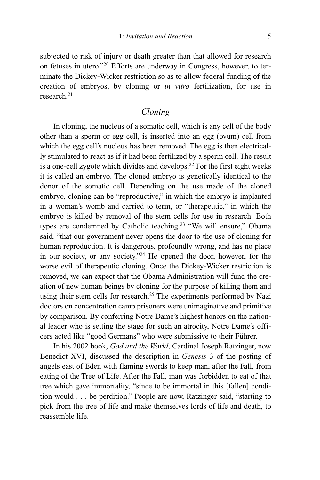subjected to risk of injury or death greater than that allowed for research on fetuses in utero."20 Efforts are underway in Congress, however, to terminate the Dickey-Wicker restriction so as to allow federal funding of the creation of embryos, by cloning or *in vitro* fertilization, for use in research.21

### *Cloning*

In cloning, the nucleus of a somatic cell, which is any cell of the body other than a sperm or egg cell, is inserted into an egg (ovum) cell from which the egg cell's nucleus has been removed. The egg is then electrically stimulated to react as if it had been fertilized by a sperm cell. The result is a one-cell zygote which divides and develops.<sup>22</sup> For the first eight weeks it is called an embryo. The cloned embryo is genetically identical to the donor of the somatic cell. Depending on the use made of the cloned embryo, cloning can be "reproductive," in which the embryo is implanted in a woman's womb and carried to term, or "therapeutic," in which the embryo is killed by removal of the stem cells for use in research. Both types are condemned by Catholic teaching.<sup>23</sup> "We will ensure," Obama said, "that our government never opens the door to the use of cloning for human reproduction. It is dangerous, profoundly wrong, and has no place in our society, or any society."24 He opened the door, however, for the worse evil of therapeutic cloning. Once the Dickey-Wicker restriction is removed, we can expect that the Obama Administration will fund the creation of new human beings by cloning for the purpose of killing them and using their stem cells for research.<sup>25</sup> The experiments performed by Nazi doctors on concentration camp prisoners were unimaginative and primitive by comparison. By conferring Notre Dame's highest honors on the national leader who is setting the stage for such an atrocity, Notre Dame's officers acted like "good Germans" who were submissive to their Führer.

In his 2002 book, *God and the World*, Cardinal Joseph Ratzinger, now Benedict XVI, discussed the description in *Genesis* 3 of the posting of angels east of Eden with flaming swords to keep man, after the Fall, from eating of the Tree of Life. After the Fall, man was forbidden to eat of that tree which gave immortality, "since to be immortal in this [fallen] condition would . . . be perdition." People are now, Ratzinger said, "starting to pick from the tree of life and make themselves lords of life and death, to reassemble life.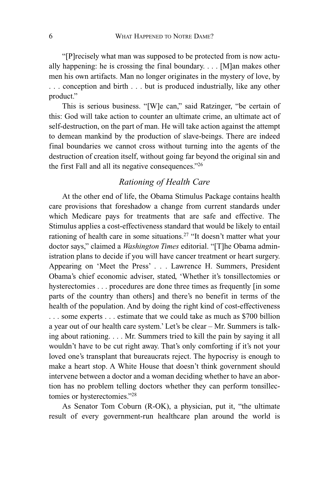"[P]recisely what man was supposed to be protected from is now actually happening: he is crossing the final boundary. . . . [M]an makes other men his own artifacts. Man no longer originates in the mystery of love, by . . . conception and birth . . . but is produced industrially, like any other product."

This is serious business. "[W]e can," said Ratzinger, "be certain of this: God will take action to counter an ultimate crime, an ultimate act of self-destruction, on the part of man. He will take action against the attempt to demean mankind by the production of slave-beings. There are indeed final boundaries we cannot cross without turning into the agents of the destruction of creation itself, without going far beyond the original sin and the first Fall and all its negative consequences."26

### *Rationing of Health Care*

At the other end of life, the Obama Stimulus Package contains health care provisions that foreshadow a change from current standards under which Medicare pays for treatments that are safe and effective. The Stimulus applies a cost-effectiveness standard that would be likely to entail rationing of health care in some situations.<sup>27</sup> "It doesn't matter what your doctor says," claimed a *Washington Times* editorial. "[T]he Obama administration plans to decide if you will have cancer treatment or heart surgery. Appearing on 'Meet the Press' . . . Lawrence H. Summers, President Obama's chief economic adviser, stated, 'Whether it's tonsillectomies or hysterectomies . . . procedures are done three times as frequently [in some parts of the country than others] and there's no benefit in terms of the health of the population. And by doing the right kind of cost-effectiveness . . . some experts . . . estimate that we could take as much as \$700 billion a year out of our health care system.' Let's be clear – Mr. Summers is talking about rationing. . . . Mr. Summers tried to kill the pain by saying it all wouldn't have to be cut right away. That's only comforting if it's not your loved one's transplant that bureaucrats reject. The hypocrisy is enough to make a heart stop. A White House that doesn't think government should intervene between a doctor and a woman deciding whether to have an abortion has no problem telling doctors whether they can perform tonsillectomies or hysterectomies."28

As Senator Tom Coburn (R-OK), a physician, put it, "the ultimate result of every government-run healthcare plan around the world is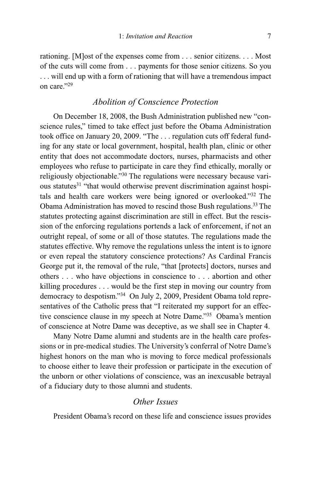rationing. [M]ost of the expenses come from . . . senior citizens. . . . Most of the cuts will come from . . . payments for those senior citizens. So you . . . will end up with a form of rationing that will have a tremendous impact on care."29

### *Abolition of Conscience Protection*

On December 18, 2008, the Bush Administration published new "conscience rules," timed to take effect just before the Obama Administration took office on January 20, 2009. "The . . . regulation cuts off federal funding for any state or local government, hospital, health plan, clinic or other entity that does not accommodate doctors, nurses, pharmacists and other employees who refuse to participate in care they find ethically, morally or religiously objectionable."30 The regulations were necessary because various statutes $31$  "that would otherwise prevent discrimination against hospitals and health care workers were being ignored or overlooked."32 The Obama Administration has moved to rescind those Bush regulations.33 The statutes protecting against discrimination are still in effect. But the rescission of the enforcing regulations portends a lack of enforcement, if not an outright repeal, of some or all of those statutes. The regulations made the statutes effective. Why remove the regulations unless the intent is to ignore or even repeal the statutory conscience protections? As Cardinal Francis George put it, the removal of the rule, "that [protects] doctors, nurses and others . . . who have objections in conscience to . . . abortion and other killing procedures . . . would be the first step in moving our country from democracy to despotism."34 On July 2, 2009, President Obama told representatives of the Catholic press that "I reiterated my support for an effective conscience clause in my speech at Notre Dame."35 Obama's mention of conscience at Notre Dame was deceptive, as we shall see in Chapter 4.

Many Notre Dame alumni and students are in the health care professions or in pre-medical studies. The University's conferral of Notre Dame's highest honors on the man who is moving to force medical professionals to choose either to leave their profession or participate in the execution of the unborn or other violations of conscience, was an inexcusable betrayal of a fiduciary duty to those alumni and students.

### *Other Issues*

President Obama's record on these life and conscience issues provides